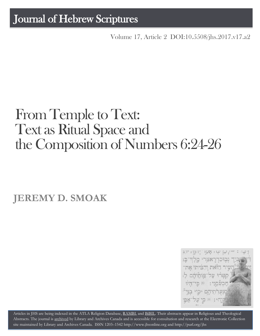## Journal of Hebrew Scriptures

Volume 17, Article 2 [DOI:10.5508/jhs.2017.v17.a2](http://dx.doi.org/10.5508/jhs.2017.v17.a2)

# From Temple to Text: Text as Ritual Space and the Composition of Numbers 6:24-26

**JEREMY D. SMOAK**



Articles in JHS are being indexed in the ATLA Religion Database, [RAMBI,](http://jnul.huji.ac.il/rambi/) and [BiBIL.](http://bibil.net/) Their abstracts appear in Religious and Theological Abstracts. The journal is [archived](http://epe.lac-bac.gc.ca/100/201/300/journal_hebrew/index.html) by Library and Archives Canada and is accessible for consultation and research at the Electronic Collection site maintained by [Library and Archives Canada.](http://collectionscanada.ca/electroniccollection/003008-200-e.html) ISSN 1203–154[2 http://www.jhsonline.org](http://www.jhsonline.org/) and<http://purl.org/jhs>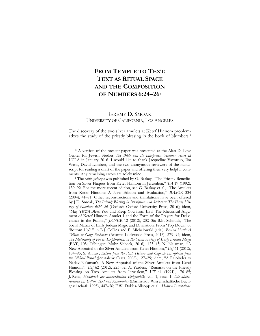### **FROM TEMPLE TO TEXT: TEXT AS RITUAL SPACE AND THE COMPOSITION OF NUMBERS 6:24–26[\\*](#page-1-0)**

#### JEREMY D. SMOAK UNIVERSITY OF CALIFORNIA, LOS ANGELES

The discovery of the two silver amulets at Ketef Hinnom problematizes the study of the priestly blessing in the book of Numbers.[1](#page-1-1)

<span id="page-1-0"></span><sup>\*</sup> A version of the present paper was presented at the Alan D. Leve Center for Jewish Studies *The Bible and Its Interpreters Seminar Series* at UCLA in January 2016. I would like to thank Jacqueline Vayntrub, Jim Watts, David Lambert, and the two anonymous reviewers of the manuscript for reading a draft of the paper and offering their very helpful com-<br>ments. Any remaining errors are solely mine.

<span id="page-1-1"></span><sup>&</sup>lt;sup>1</sup> The *editio princeps* was published by G. Barkay, "The Priestly Benediction on Silver Plaques from Ketef Hinnom in Jerusalem," *TA* 19 (1992), 139–92. For the more recent edition, see G. Barkay et al., "The Amulets from Ketef Hinnom: A New Edition and Evaluation," *BASOR* 334 (2004), 41–71. Other reconstructions and translations have been offered by J.D. Smoak, *The Priestly Blessing in Inscription and Scripture: The Early History of Numbers 6:24–26* (Oxford: Oxford University Press, 2016); idem, "May YHWH Bless You and Keep You from Evil: The Rhetorical Argument of Ketef Hinnom Amulet 1 and the Form of the Prayers for Deliverance in the Psalms," *JANER* 12 (2012), 202–36; B.B. Schmidt, "The Social Matrix of Early Judean Magic and Divination: From 'Top Down' or 'Bottom Up?'," in B.J. Collins and P. Michalowski (eds.), *Beyond Hatti: A Tribute to Gary Beckman* (Atlanta: Lockwood Press, 2013), 279–94; idem, *The Materiality of Power: Explorations in the Social History of Early Israelite Magic*  (FAT, 105; Tübingen: Mohr Siebeck, 2016), 123–43; N. Na'aman, "A New Appraisal of the Silver Amulets from Ketef Hinnom," *IEJ* 61 (2012), 184–95; S. Aḥituv, *Echoes from the Past: Hebrew and Cognate Inscriptions from the Biblical Period* (Jerusalem: Carta, 2008), 127–29; idem, "A Rejoinder to Nadav Na'aman's 'A New Appraisal of the Silver Amulets from Ketef Hinnom'," *IEJ* 62 (2012), 223–32; A. Yardeni, "Remarks on the Priestly Blessing on Two Amulets from Jerusalem," *VT* 41 (1991), 176–85; J. Renz, *Handbuch der althebräischen Epigraphik*, vol. 1, fasc. 1: *Die althebräischen Inschriften, Text und Kommentar* (Darmstadt: Wissenschaftliche Buchgesellschaft, 1995), 447–56; F.W. Dobbs-Allsopp et al., *Hebrew Inscriptions:*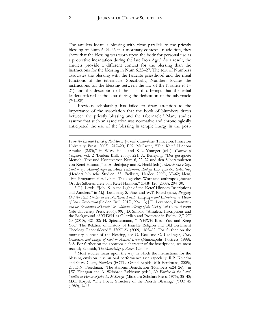The amulets locate a blessing with close parallels to the priestly blessing of Num 6:24–26 in a mortuary context. In addition, they show that the blessing was worn upon the body for personal use as a protective incantation during the late Iron Age.[2](#page-2-0) As a result, the amulets provide a different context for the blessing than the instructions for the blessing in Num 6:22–27. The text of Numbers associates the blessing with the Israelite priesthood and the ritual functions of the tabernacle. Specifically, Numbers locates the instructions for the blessing between the law of the Nazirite (6:1– 21) and the description of the lists of offerings that the tribal leaders offered at the altar during the dedication of the tabernacle  $(7:1–88)$ .

Previous scholarship has failed to draw attention to the importance of the association that the book of Numbers draws between the priestly blessing and the tabernacle.[3](#page-2-1) Many studies assume that such an association was normative and chronologically anticipated the use of the blessing in temple liturgy in the post-

<span id="page-2-0"></span>and Amulets," in M.J. Lundberg, S. Fine, and W.T. Pitard (eds.), *Puzzling Out the Past: Studies in the Northwest Semitic Languages and Literatures in Honor of Bruce Zuckerman* (Leiden: Brill, 2012), 99–113; J.D. Levenson, *Resurrection and the Restoration of Israel: The Ultimate Victory of the God of Life (New Haven:* Yale University Press, 2006), 99; J.D. Smoak, "Amuletic Inscriptions and the Background of YHWH as Guardian and Protector in Psalm 12," *VT*  60 (2010), 421–32; H. Spieckermann, " 'YHWH Bless You and Keep You': The Relation of History of Israelite Religion and Old Testament Theology Reconsidered," *SJOT* 23 (2009), 165–82. For further on the mortuary context of the blessing, see O. Keel and C. Uehlinger, *Gods, Goddesses, and Images of God in Ancient Israel* (Minneapolis: Fortress, 1998), 368. For further on the apotropaic character of the inscriptions, see most

<span id="page-2-1"></span>recently Schmidt, *The Materiality of Power*, 123–43.<br><sup>3</sup> Most studies focus upon the way in which the instructions for the blessing envision it as an oral performance (see especially, R.P. Knierim and G.W. Coats, *Numbers* (FOTL; Grand Rapids, MI: Eerdmans, 2005), 27; D.N. Freedman, "The Aaronic Benediction (Numbers 6:24–26)," in J.W. Flanagan and A. Weisbrod Robinson (eds.), *No Famine in the Land: Studies in Honor of John L. McKenzie* (Missoula: Scholars Press, 1975), 35–48; M.C. Korpel, "The Poetic Structure of the Priestly Blessing," *JSOT* 45 (1989), 3–13.

*From the Biblical Period of the Monarchy, with Concordance* (Princeton: Princeton University Press, 2005), 217–20; P.K. McCarter, "The Ketef Hinnom Amulets (2.83)," in W.W. Hallo and K.L. Younger (eds.), *Context of Scripture*, vol. 2 (Leiden: Brill, 2000), 221; A. Berlejung, "Der gesegnete Mensch: Text und Kontext von Num 6, 22–27 und den Silberamuletten von Ketef Hinnom," in A. Berlejung and R. Heckl (eds.), *Mensch und König: Studien zur Anthropologie des Alten Testaments: Rüdiger Lux zum 60. Geburtstag*  (Herders biblische Studien, 53; Freiburg: Herder, 2008), 37–62; idem, "Ein Programm fürs Leben. Theologisches Wort und anthropologischer Ort der Silberamulete von Ketef Hinnom," *ZAW* <sup>120</sup> (2008), 204–30. 2 T.J. Lewis, "Job 19 in the Light of the Ketef Hinnom Inscriptions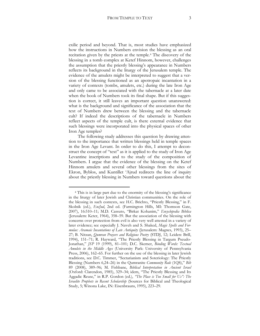exilic period and beyond. That is, most studies have emphasized how the instructions in Numbers envision the blessing as an oral recitation given by the priests at the temple.[4](#page-3-0) The discovery of the blessing in a tomb complex at Ketef Hinnom, however, challenges the assumption that the priestly blessing's appearance in Numbers reflects its background in the liturgy of the Jerusalem temple. The evidence of the amulets might be interpreted to suggest that a version of the blessing functioned as an apotropaic incantation in a variety of contexts (tombs, amulets, etc.) during the late Iron Age and only came to be associated with the tabernacle at a later date when the book of Numbers took its final shape. But if this suggestion is correct, it still leaves an important question unanswered: what is the background and significance of the association that the text of Numbers drew between the blessing and the tabernacle cult? If indeed the descriptions of the tabernacle in Numbers reflect aspects of the temple cult, is there external evidence that such blessings were incorporated into the physical spaces of other Iron Age temples?

The following study addresses this question by drawing attention to the importance that written blessings held in temple spaces in the Iron Age Levant. In order to do this, I attempt to deconstruct the concept of "text" as it is applied to the study of Iron Age Levantine inscriptions and to the study of the composition of Numbers. I argue that the evidence of the blessing on the Ketef Hinnom amulets and several other blessings from the sites of Ekron, Byblos, and Kuntillet 'Ajrud redirects the line of inquiry about the priestly blessing in Numbers toward questions about the

<span id="page-3-0"></span><sup>4</sup> This is in large part due to the enormity of the blessing's significance in the liturgy of later Jewish and Christian communities. On the role of the blessing in such contexts, see H.C. Brichto, "Priestly Blessing," in F. Skolnik (ed.), *EncJud*, 2nd ed. (Farmington Hills, MI: Thomson Gate, 2007), 16:510–11; M.D. Cassuto, "Birkat Kohanim," *Encyclopedia Biblica* (Jerusalem: Keter, 1964), 358–59. But the association of the blessing with concerns over protection from evil is also very well attested in a variety of later evidence; see especially J. Naveh and S. Shaked, *Magic Spells and Formulae: Aramaic Incantations of Late Antiquity* (Jerusalem: Magnes, 1993), 25– 27; B. Nitzan, *Qumran Prayers and Religious Poetry* (STDJ, 12; Leiden: Brill, 1994), 151–71; R. Hayward, "The Priestly Blessing in Targum Pseudo-Jonathan," *JSP* 19 (1999), 81–101; D.C. Skemer, *Binding Words: Textual Amulets in the Middle Ages* (University Park: University of Pennsylvania Press, 2006), 162–65. For further on the use of the blessing in later Jewish traditions, see D.C. Timmer, "Sectarianism and Soteriology: The Priestly Blessing (Numbers 6,24–26) in the Qumranite *Community Rule* (1QS)," *Bib* 89 (2008), 389–96; M. Fishbane, *Biblical Interpretation in Ancient Israel*  (Oxford: Clarendon, 1985), 329–34; idem, "The Priestly Blessing and Its Aggadic Reuse," in R.P. Gordon (ed.), *"The Place is Too Small for Us": The Israelite Prophets in Recent Scholarship* (Sources for Biblical and Theological Study, 5; Winona Lake, IN: Eisenbrauns, 1995), 223–29.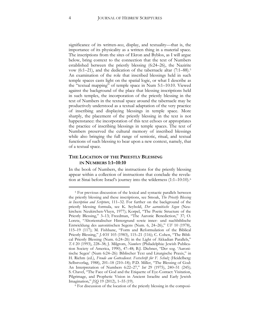significance of its written-*ness*, display, and textuality—that is, the importance of its physicality as a written thing in a material space. The inscriptions from the sites of Ekron and Byblos, as I will argue below, bring context to the connection that the text of Numbers established between the priestly blessing (6:24–26), the Nazirite vow (6:1–21), and the dedication of the tabernacle altar (7:1–88).[5](#page-4-0) An examination of the role that inscribed blessings held in such temple spaces casts light on the spatial logic, or what I describe as the "textual mapping" of temple space in Num 5:1–10:10. Viewed against the background of the place that blessing inscriptions held in such temples, the incorporation of the priestly blessing in the text of Numbers in the textual space around the tabernacle may be productively understood as a textual adaptation of the very practice of inscribing and displaying blessings in temple space. More sharply, the placement of the priestly blessing in the text is not happenstance: the incorporation of this text echoes or appropriates the practice of inscribing blessings in temple spaces. The text of Numbers preserved the cultural memory of inscribed blessings while also bringing the full range of semiotic, ritual, and textual functions of such blessing to bear upon a new context, namely, that of a textual space.

#### **THE LOCATION OF THE PRIESTLY BLESSING IN NUMBERS 1:1–10:10**

In the book of Numbers, the instructions for the priestly blessing appear within a collection of instructions that conclude the revelation at Sinai before Israel's journey into the wilderness (1:1–10:10).[6](#page-4-1)

<span id="page-4-0"></span><sup>5</sup> For previous discussion of the lexical and syntactic parallels between the priestly blessing and these inscriptions, see Smoak, *The Priestly Blessing in Inscription and Scripture*, 111–32. For further on the background of the priestly blessing formula, see K. Seybold, *Der aaronitische Segen* (Neukirchen: Neukirchen-Vluyn, 1977); Korpel, "The Poetic Structure of the Priestly Blessing," 3–13; Freedman, "The Aaronic Benediction," 37; O. Loretz, "Altorientalischer Hintergrund sowie inner- und nachbiblische Entwicklung des aaronitischen Segens (Num. 6, 24–26)," *UF* 10 (1978), 115–19 (117); M. Fishbane, "Form and Reformulation of the Biblical Priestly Blessing," *JAOS* 103 (1983), 115–21 (116); C. Cohen, "The Biblical Priestly Blessing (Num. 6:24–26) in the Light of Akkadian Parallels," *TA* 20 (1993), 228–38; J. Milgrom, *Numbers* (Philadelphia: Jewish Publication Society of America, 1990), 47–48; B.J. Diebner, "Der sog. 'Aaronitische Segen' (Num 6:24–26): Biblischer Text und Liturgische Praxis," in H. Riehm (ed.), *Freude am Gottesdienst. Festschrift für F. Schulz* (Heidelberg: Selbstverlag, 1988), 201–18 (210–18); P.D. Miller, "The Blessing of God: An Interpretation of Numbers 6:22–27," *Int* 29 (1975), 240–51 (245); S. Chavel, "The Face of God and the Etiquette of Eye-Contact: Visitation, Pilgrimage, and Prophetic Vision in Ancient Israelite and Early Jewish Imagination," *JSQ* 19 (2012), 1–55 (19).

<span id="page-4-1"></span><sup>6</sup> For discussion of the location of the priestly blessing in the composi-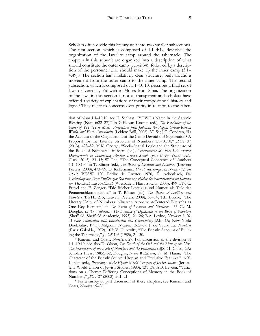Scholars often divide this literary unit into two smaller subsections. The first section, which is composed of 1:1–4:49, describes the organization of the Israelite camp around the tabernacle. The chapters in this subunit are organized into a description of what should constitute the outer camp (1:1–2:34), followed by a description of the personnel who should make up the inner camp (3:1– 4:49).[7](#page-5-0) The section has a relatively clear structure, built around a movement from the outer camp to the inner camp. The second subsection, which is composed of 5:1–10:10, describes a final set of laws delivered by Yahweh to Moses from Sinai. The organization of the laws in this section is not as transparent and scholars have offered a variety of explanations of their compositional history and logic.[8](#page-5-1) They relate to concerns over purity in relation to the taber-

 $\overline{a}$ 

tion of Num 1:1–10:10, see H. Seebass, "YHWH's Name in the Aaronic Blessing (Num 6:22–27)," in G.H. van Kooten (ed.), *The Revelation of the Name of YHWH to Moses. Perspectives from Judaism, the Pagan, Graeco-Roman World, and Early Christianity* (Leiden: Brill, 2006), 37–54; J.C. Condren, "Is the Account of the Organization of the Camp Devoid of Organization? A Proposal for the Literary Structure of Numbers 1:1–10:10," *JSOT* 37 (2013), 423–52; M.K. George, "Socio-Spatial Logic and the Structure of the Book of Numbers," in idem (ed.), *Constructions of Space IV: Further Developments in Examining Ancient Israel's Social Space* (New York: T&T Clark, 2013), 23–43; W. Lee, "The Conceptual Coherence of Numbers 5,1–10,10," in T. Römer (ed.), *The Books of Leviticus and Numbers* (Leuven: Peeters, 2008), 473–89; D. Kellermann, *Die Priesterschrift von Numeri 1,1 bis 10,10* (BZAW, 120; Berlin: de Gruyter, 1970); R. Achenbach, *Die Vollendung der Tora: Studien zur Redaktionsgeschichte des Numeribuches im Kontext von Hexateuch und Pentateuch* (Wiesbaden: Harrassowitz, 2003), 499–517; C. Frevel and E. Zenger, "Die Bücher Levitikus und Numeri als Teile der Pentateuchkomposition," in T. Römer (ed.), *The Books of Leviticus and Numbers* (BETL, 215; Leuven: Peeters, 2008), 35–74; T.L. Brodie, "The Literary Unity of Numbers: Nineteen Atonement-Centered Diptychs as One Key Element," in *The Books of Leviticus and Numbers*, 455–72; M. Douglas, *In the Wilderness: The Doctrine of Defilement in the Book of Numbers*  (Sheffield: Sheffield Academic, 1993), 21–26; B.A. Levine, *Numbers 1–20: A New Translation with Introduction and Commentary* (AB, 4A; New York: Doubleday, 1993); Milgrom, *Numbers*, 362–67; J. de Vaulx, *Les Nombres*  (Paris: Gabalda, 1972), 103; V. Hurowitz, "The Priestly Account of Building the Tabernacle," *JAOS* 105 (1985), 21–30.

<span id="page-5-0"></span><sup>7</sup> Knierim and Coats, *Numbers*, 27. For discussion of the division of 1:1–10:10, see also D. Olson, *The Death of the Old and the Birth of the New: The Framework of the Book of Numbers and the Pentateuch* (BJS, 71; Chico, CA: Scholars Press, 1985), 32; Douglas, *In the Wilderness*, 39; M. Haran, "The Character of the Priestly Source: Utopian and Exclusive Features," in Y. Kaplan (ed.), *Proceedings of the Eighth World Congress of Jewish Studies* (Jerusalem: World Union of Jewish Studies, 1983), 131–38; A.B. Leveen, "Variations on a Theme: Differing Conceptions of Memory in the Book of Numbers," *JSOT* 27 (2002), 201–21.

<span id="page-5-1"></span><sup>8</sup> For a survey of past discussion of these chapters, see Knierim and Coats, *Numbers*, 9–26.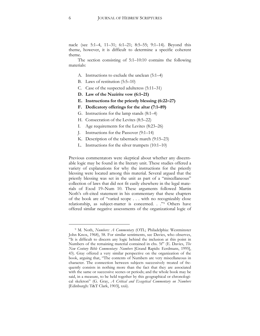nacle (see 5:1–4, 11–31; 6:1–21; 8:5–55; 9:1–14). Beyond this theme, however, it is difficult to determine a specific coherent theme.

The section consisting of 5:1–10:10 contains the following materials:

- A. Instructions to exclude the unclean (5:1–4)
- B. Laws of restitution (5:5–10)
- C. Case of the suspected adulteress (5:11–31)
- **D. Law of the Nazirite vow (6:1–21)**
- **E. Instructions for the priestly blessing (6:22–27)**
- **F. Dedicatory offerings for the altar (7:1–89)**
- G. Instructions for the lamp stands (8:1–4)
- H. Consecration of the Levites (8:5–22)
- I. Age requirements for the Levites (8:23–26)
- J. Instructions for the Passover (9:1–14)
- K. Description of the tabernacle march (9:15–23)
- L. Instructions for the silver trumpets (10:1–10)

Previous commentators were skeptical about whether any discernable logic may be found in the literary unit. These studies offered a variety of explanations for why the instructions for the priestly blessing were located among this material. Several argued that the priestly blessing was set in the unit as part of a "miscellaneous" collection of laws that did not fit easily elsewhere in the legal materials of Exod 19–Num 10. These arguments followed Martin Noth's oft-cited statement in his commentary that these chapters of the book are of "varied scope . . . with no recognizably close relationship, as subject-matter is concerned. . ."[9](#page-6-0) Others have offered similar negative assessments of the organizational logic of

<span id="page-6-0"></span><sup>9</sup> M. Noth, *Numbers: A Commentary* (OTL; Philadelphia: Westminster John Knox, 1968), 58. For similar sentiments, see Davies, who observes, "It is difficult to discern any logic behind the inclusion at this point in Numbers of the remaining material contained in chs. 5f" (E. Davies, *The New Century Bible Commentary: Numbers* [Grand Rapids: Eerdmans, 1995], 43). Gray offered a very similar perspective on the organization of the book, arguing that, "The contents of Numbers are very miscellaneous in character. The connection between subjects successively treated of frequently consists in nothing more than the fact that they are associated with the same or successive scenes or periods; and the whole book may be said, in a measure, to be held together by this geographical or chronological skeleton" (G. Gray, *A Critical and Exegetical Commentary on Numbers*  [Edinburgh: T&T Clark, 1903], xxii).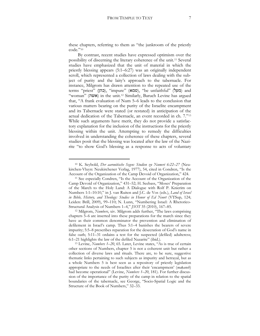these chapters, referring to them as "the junkroom of the priestly code."[10](#page-7-0)

By contrast, recent studies have expressed optimism over the possibility of discerning the literary coherence of the unit.<sup>11</sup> Several studies have emphasized that the unit of material in which the priestly blessing appears (5:1–6:27) was an originally independent scroll, which represented a collection of laws dealing with the subject of purity and the laity's approach to the tabernacle. For instance, Milgrom has drawn attention to the repeated use of the terms "priest" (כהן), "impure" (טמא), "be unfaithful" (מעל) and "woman" (**אשה)** in the unit.<sup>12</sup> Similarly, Baruch Levine has argued that, "A frank evaluation of Num 5–6 leads to the conclusion that various matters bearing on the purity of the Israelite encampment and its Tabernacle were stated (or restated) in anticipation of the actual dedication of the Tabernacle, an event recorded in ch. 7."<sup>13</sup> While such arguments have merit, they do not provide a satisfactory explanation for the inclusion of the instructions for the priestly blessing within the unit. Attempting to remedy the difficulties involved in understanding the coherence of these chapters, several studies posit that the blessing was located after the law of the Nazirite "to show God's blessing as a response to acts of voluntary

<span id="page-7-0"></span><sup>10</sup> K. Seybold, *Der aaronitische Segen: Studien zu Numeri 6:22–27* (Neukirchen-Vluyn: Neukirchener Verlag, 1977), 54, cited in Condren, "Is the Account of the Organization of the Camp Devoid of Organization," 424.

<sup>11</sup> See especially Condren, "Is the Account of the Organization of the Camp Devoid of Organization," 431–52; H. Seebass, "Moses' Preparation of the March to the Holy Land: A Dialogue with Rolf P. Knierim on Numbers 1:1–10:10," in J. van Ruiten and J.C. de Vos (eds.), *Land of Israel in Bible, History, and Theology: Studies in Honor of Ed Noort* (VTSup, 124; Leiden: Brill, 2009), 99–110; N. Lunn, "Numbering Israel: A Rhetorico-Structural Analysis of Numbers 1–4," *JSOT* 35 (2010), 167–85.

<sup>12</sup> Milgrom, *Numbers*, xiv. Milgrom adds further, "The laws comprising chapters 5–6 are inserted into these preparations for the march since they have as their common denominator the prevention and elimination of defilement in Israel's camp. Thus 5:1–4 banishes the bearers of severe impurity; 5:5–8 prescribes reparation for the desecration of God's name in false oath; 5:11–31 ordains a test for the suspected (defiled) adulteress; 6:1–21 highlights the law of the defiled Nazarite" (ibid.).

<sup>13</sup> Levine, *Numbers 1–20*, 65. Later, Levine states, "As is true of certain other sections of Numbers, chapter 5 is not a coherent unit but rather a collection of diverse laws and rituals. There are, to be sure, suggestive thematic links pertaining to such subjects as impurity and betrayal, but as a whole Numbers 5 is best seen as a repository of priestly legislation appropriate to the needs of Israelites after their 'encampment' (*maḥaneh*) had become operational" (Levine, *Numbers 1–20*, 181). For further discussion of the importance of the purity of the camp in relation to the spatial boundaries of the tabernacle, see George, "Socio-Spatial Logic and the Structure of the Book of Numbers," 32–33.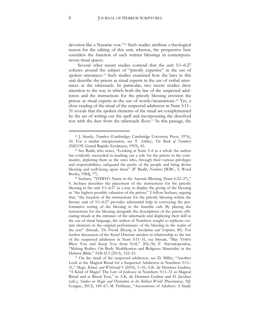devotion like a Nazarite vow."[14](#page-8-0) Such studies attribute a theological reason for the editing of this unit, whereas, the perspective here considers the function of such written blessings in contemporaneous ritual spaces.

Several other recent studies contend that the unit 5:1–6:27 coheres around the subject of "priestly expertise" in the use of spoken utterances.[15](#page-8-1) Such studies examined how the laws in this unit describe the priests as ritual experts in the use of verbal utterances at the tabernacle. In particular, two recent studies drew attention to the way in which both the law of the suspected adulteress and the instructions for the priestly blessing envision the priests as ritual experts in the use of words/incantations.[16](#page-8-2) Yet, a close reading of the ritual of the suspected adulteress in Num 5:11– 31 reveals that the spoken elements of the ritual are complemented by the act of writing out the spell and incorporating the dissolved text with the dust from the tabernacle floor.[17](#page-8-3) In this passage, the

<span id="page-8-0"></span><sup>14</sup> J. Sturdy, *Numbers* (Cambridge: Cambridge University Press, 1976), 54. For a similar interpretation, see T. Ashley, *The Book of Numbers*  (NICOT; Grand Rapids: Eerdmans, 1993), 43.

<span id="page-8-1"></span><sup>15</sup> See Budd, who notes, "Looking at Num 5–6 as a whole the author has evidently succeeded in marking out a role for the priests in the community, depicting them as the ones who, through their various privileges and responsibilities, safeguard the purity of the people and bring divine blessing and well-being upon them" (P. Budd, *Numbers* [WBC, 5; Word Books, 1984], 77).

<span id="page-8-2"></span><sup>16</sup> Seebass, "YHWH's Name in the Aaronic Blessing (Num 6:22–27)," 4. Seebass describes the placement of the instructions for the priestly blessing in the unit 5:1–6:27 as a way to display the giving of the blessing as "the highest possible valuation of the priests." I follow Seebass, arguing that, "the location of the instructions for the priestly blessing within the literary unit of 5:1–6:27 provides substantial help in conveying the performative setting of the blessing in the Israelite cult. By placing the instructions for the blessing alongside the descriptions of the priests officiating rituals at the entrance of the tabernacle and displaying their skill in the use of ritual language, the author of Numbers sought to replicate certain elements in the original performance of the blessing in the realm of the text" (Smoak, *The Priestly Blessing in Inscription and Scripture*, 80). For further discussion of the Ketef Hinnom amulets in relationship to the law of the suspected adulteress in Num 5:11–31, see Smoak, "May YHWH Bless You and Keep You from Evil," 202–36; F. Stavrakopoulou, "Making Bodies: On Body Modification and Religious Materiality in the Hebrew Bible," *HeBAI* 2 (2013), 532–53.

<span id="page-8-3"></span><sup>17</sup> On the ritual of the suspected adulteress, see D. Miller, "Another Look at the Magical Ritual for a Suspected Adulteress in Numbers 5:11– 31," *Magic, Ritual, and Witchcraft* 5 (2010), 1–16; A.K. de Hemmer Gudme, "A Kind of Magic? The Law of Jealousy in Numbers 5:11–31 as Magical Ritual and as Ritual Text," in A.K. de Hemmer Gudme and H. Jacobus (eds.), *Studies on Magic and Divination in the Biblical World* (Piscataway, NJ: Gorgias, 2013), 149–67; M. Fishbane, "Accusations of Adultery: A Study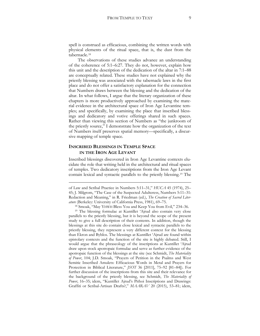spell is construed as efficacious, combining the written words with physical elements of the ritual space, that is, the dust from the tabernacle.[18](#page-9-0)

The observations of these studies advance an understanding of the coherence of 5:1–6:27. They do not, however, explain how this unit and the description of the dedication of the altar in 7:1–88 are conceptually related. These studies have not explained why the priestly blessing was associated with the tabernacle laws in the first place and do not offer a satisfactory explanation for the connection that Numbers draws between the blessing and the dedication of the altar. In what follows, I argue that the literary organization of these chapters is more productively approached by examining the material evidence in the architectural space of Iron Age Levantine temples; and specifically, by examining the place that inscribed blessings and dedicatory and votive offerings shared in such spaces. Rather than viewing this section of Numbers as "the junkroom of the priestly source," I demonstrate how the organization of the text of Numbers itself preserves spatial memory—specifically, a discursive mapping of temple space.

#### **INSCRIBED BLESSINGS IN TEMPLE SPACE IN THE IRON AGE LEVANT**

 $\overline{a}$ 

Inscribed blessings discovered in Iron Age Levantine contexts elucidate the role that writing held in the architectural and ritual spaces of temples. Two dedicatory inscriptions from the Iron Age Levant contain lexical and syntactic parallels to the priestly blessing.[19](#page-9-1) The

of Law and Scribal Practice in Numbers 5:11–31," *HUCA* 45 (1974), 25– 45; J. Milgrom, "The Case of the Suspected Adulteress, Numbers 5:11–31: Redaction and Meaning," in R. Friedman (ed.), *The Creation of Sacred Literature* (Berkeley: University of California Press, 1981), 69–75.

<sup>18</sup> Smoak, "May YHWH Bless You and Keep You from Evil," 234–36.

<span id="page-9-1"></span><span id="page-9-0"></span><sup>19</sup> The blessing formulae at Kuntillet 'Ajrud also contain very close parallels to the priestly blessing, but it is beyond the scope of the present study to give a full description of their contents. In addition, though the blessings at this site do contain close lexical and syntactic parallels to the priestly blessing, they represent a very different context for the blessing than Ekron and Byblos. The blessings at Kuntillet 'Ajrud are found within epistolary contexts and the function of the site is highly debated. Still, I would argue that the phraseology of the inscriptions at Kuntillet 'Ajrud draw upon stock apotropaic formulae and serve as further evidence of the apotropaic function of the blessings at the site (see Schmidt, *The Materiality of Power*, 104; J.D. Smoak, "Prayers of Petition in the Psalms and West Semitic Inscribed Amulets: Efficacious Words in Metal and Prayers for Protection in Biblical Literature," *JSOT* 36 [2011], 75–92 [81–84]). For further discussion of the inscriptions from this site and their relevance for the background of the priestly blessing, see Schmidt, *The Materiality of Power*, 16–35; idem, "Kuntillet Ajrud's Pithoi Inscriptions and Drawings: Graffiti or Scribal-Artisan Drafts?," *MAARAV* 20 (2015), 53–81; idem,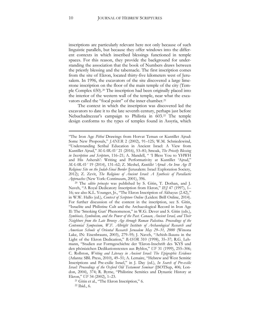inscriptions are particularly relevant here not only because of such linguistic parallels, but because they offer windows into the different contexts in which inscribed blessings functioned in temple spaces. For this reason, they provide the background for understanding the association that the book of Numbers draws between the priestly blessing and the tabernacle. The first inscription comes from the site of Ekron, located thirty-five kilometers west of Jerusalem. In 1996, the excavators of the site discovered a large limestone inscription on the floor of the main temple of the city (Temple Complex 650).[20](#page-10-0) The inscription had been originally placed into the interior of the western wall of the temple, near what the exca-vators called the "focal point" of the inner chamber.<sup>[21](#page-10-1)</sup>

The context in which the inscription was discovered led the excavators to date it to the late seventh century, perhaps just before Nebuchadnezzar's campaign to Philistia in 603.[22](#page-10-2) The temple design conforms to the types of temples found in Assyria, which

<sup>&</sup>quot;The Iron Age *Pithoi* Drawings from Horvat Teman or Kuntillet Ajrud: Some New Proposals," *JANER* 2 (2002), 91–125; W.M. Schniedewind, "Understanding Scribal Education in Ancient Israel: A View from Kuntillet Ajrud," *MAARAV* 21 (2016), 53–81; Smoak, *The Priestly Blessing in Inscription and Scripture*, 116–21; A. Mandell, " 'I Bless You to YHWH and His Asherah': Writing and Performativity at Kuntillet 'Ajrud," *MAARAV* 19 (2014), 131–62; Z. Meshel, *Kuntillet 'Ajrud: An Iron Age II Religious Site on the Judah-Sinai Border* (Jerusalem: Israel Exploration Society, 2012); Z. Zevit, *The Religions of Ancient Israel: A Synthesis of Parallactic Approaches* (New York: Continuum, 2001), 396. 20 The *editio princeps* was published by S. Gitin, T. Dothan, and J.

<span id="page-10-0"></span>Naveh, "A Royal Dedicatory Inscription from Ekron," *IEJ* 47 (1997), 1– 16; see also K.L. Younger, Jr., "The Ekron Inscription of Akhayus (2.42)," in W.W. Hallo (ed.), *Context of Scripture Online* (Leiden: Brill Online, 2014). For further discussion of the content in the inscription, see S. Gitin, "Israelite and Philistine Cult and the Archaeological Record in Iron Age II: The 'Smoking Gun' Phenomenon," in W.G. Dever and S. Gitin (eds.), *Symbiosis, Symbolism, and the Power of the Past. Canaan, Ancient Israel, and Their Neighbors from the Late Bronze Age through Roman Palestina. Proceedings of the Centennial Symposium, W.F. Albright Institute of Archaeological Research and American Schools of Oriental Research Jerusalem May 29–31, 2000* (Winona Lake, IN: Eisenbrauns, 2003), 279–95; J. Naveh, "Achish-Ikausu in the Light of the Ekron Dedication," *BASOR* 310 (1998), 35–37; R.G. Lehmann, "Studien zur Formgeschichte der 'Ekron-Inschrift des 'KYŠ und den phönizichen Dedikationstexten aus Byblos," *UF* 31 (1999), 255–306; C. Rollston, *Writing and Literacy in Ancient Israel: The Epigraphic Evidence*  (Atlanta: SBL Press, 2010), 49–51; A. Lemaire, "Hebrew and West Semitic Inscriptions and Pre-exilic Israel," in J. Day (ed.), *In Search of Pre-exilic Israel: Proceedings of the Oxford Old Testament Seminar* (JSOTSup, 406; London, 2004), 374; R. Byrne, "Philistine Semitics and Dynastic History at Ekron," *UF* 34 (2002), 1–23.

<span id="page-10-2"></span><span id="page-10-1"></span><sup>21</sup> Gitin et al., "The Ekron Inscription," 6.

<sup>22</sup> Ibid., 6.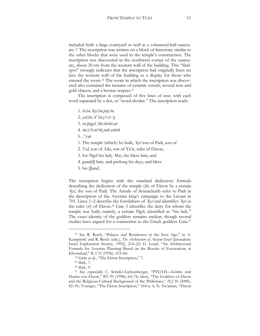included both a large courtyard as well as a columned-hall sanctuary[.23](#page-11-0) The inscription was written on a block of limestone similar to the other blocks that were used in the temple's construction. The inscription was discovered in the northwest corner of the sanctuary, about 20 cm from the western wall of the building. This "findspot" strongly indicates that the inscription had originally been set into the western wall of the building as a display for those who entered the room.[24](#page-11-1) The room in which the inscription was discovered also contained the remains of ceramic vessels, several iron and gold objects, and a bronze scepter.[25](#page-11-2)

The inscription is composed of five lines of text, with each word separated by a dot, or "word-divider." The inscription reads:

1. *bt.bn.'kyš.bn.pdy.bn.*

- 2. *ysd.bn.'d' bn.y'r.śr 'q*
- 3. *rn.lptgyh.'dth.tbrkh.wt*
- 4. *šm[r]h.wt'rk.ymh.wtbrk*

5. *[']r*ṣ*h*

- 1. The temple (which) he built, *'kyš* son of Padi, son of
- 2. *Ysd*, son of Ada, son of Ya'ir, ruler of Ekron,
- 3. for *Ptgyh* his lady. May she bless him, and
- 4. guar[d] him, and prolong his days, and bless
- 5. his [l]and.

The inscription begins with the standard dedicatory formula describing the dedication of the temple (*bt*) of Ekron by a certain *'kyš*, the son of Padi. The Annals of Sennacherib refer to Padi in the description of the Assyrian king's campaign to the Levant in 701. Lines 1–2 describe the forefathers of *'kyš* and identifies *'kyš* as the ruler (*śr*) of Ekron.[26](#page-11-3) Line 3 identifies the deity for whom the temple was built, namely, a certain *Ptgyh*, identified as "his lady." The exact identity of the goddess remains unclear, though several studies have argued for a connection to the Greek goddess Gaia.<sup>[27](#page-11-4)</sup>

<span id="page-11-0"></span><sup>23</sup> See R. Reich, "Palaces and Residences in the Iron Age," in A. Kempinski and R. Reich (eds.), *The Architecture of Ancient Israel* (Jerusalem: Israel Exploration Society, 1992), 214–22; G. Loud, "An Architectural Formula for Assyrian Planning Based on the Results of Excavations at Khorsabad," *RA* 33 (1936), 153–60.

<sup>24</sup> Gitin et al., "The Ekron Inscription," 7.

<sup>25</sup> Ibid., 7.

<sup>26</sup> Ibid., 9.

<span id="page-11-4"></span><span id="page-11-3"></span><span id="page-11-2"></span><span id="page-11-1"></span><sup>27</sup> See especially C. Schäfer-Lichtenberger, "PTGYH—Göttin und Herrin von Ekron," *BN* 91 (1998), 64–76; idem, "The Goddess of Ekron and the Religious-Cultural Background of the Philistines," *IEJ* 50 (2000), 82–91; Younger, "The Ekron Inscription," 164 n. 4; N. Na'aman, "Ekron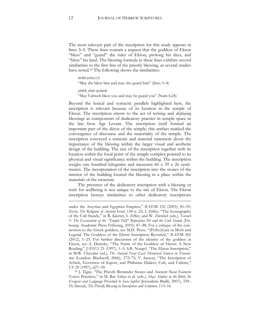The most relevant part of the inscription for this study appears in lines 3–5. These lines contain a request that the goddess of Ekron "bless" and "guard" the ruler of Ekron, prolong his days, and "bless" his land. The blessing formula in these lines exhibits several similarities to the first line of the priestly blessing, as several studies have noted.<sup>[28](#page-12-0)</sup> The following shows the similarities:

#### *tbrkh.wtšm[r]h*

"May she bless him and may she guard him" (lines 3–4)

*ybrkk yhwh wyšmrk*

"May Yahweh bless you and may he guard you" (Num 6:24)

Beyond the lexical and syntactic parallels highlighted here, the inscription is relevant because of its location in the temple of Ekron. The inscription attests to the act of writing and *displaying*  blessings as components of dedicatory practice in temple space in the late Iron Age Levant. The inscription itself formed an important part of the décor of the temple; this artifact marked the convergence of discourse and the materiality of the temple. The inscription conveyed a semiotic and material statement about the importance of the blessing within the larger visual and aesthetic design of the building. The size of the inscription together with its location within the focal point of the temple complex pointed to its physical and visual significance within the building. The inscription weighs one hundred kilograms and measures 60 x 39 x 26 centimeters. The incorporation of the inscription into the stones of the interior of the building located the blessing in a place within the materials of the structure.

The presence of the dedicatory inscription with a blessing or wish for wellbeing is not unique to the site of Ekron. The Ekron inscription betrays similarities to other dedicatory inscriptions

<span id="page-12-0"></span>*UF 29* (1997), 627–39.<br><sup>28</sup> J. Tigay, "The Priestly Reminder Stones and Ancient Near Eastern Votive Practices," in M. Bar Asher et al. (eds.), *Shay: Studies in the Bible, Its Exegesis and Language Presented to Sara Japhet* (Jerusalem: Bialik, 2007), 339– 55; Smoak, *The Priestly Blessing in Inscription and Scripture*, 113–16.

under the Assyrian and Egyptian Empires," *BASOR* 332 (2003), 81–91; Zevit, *The Religions of Ancient Israel*, 138 n. 25; I. Ziffer, "The Iconography of the Cult Stands," in R. Kletter, I. Ziffer, and W. Zwickel (eds.), *Yavneh 1: The Excavation of the "Temple Hill" Repository Pit and the Cult Stands* (Fribourg: Academic Press Fribourg, 2010), 87–88. For a critique of the connection to the Greek goddess, see M.D. Press, "(Pytho)Gaia in Myth and Legend: The Goddess of the Ekron Inscription Revisited," *BASOR* 365 (2012), 1–25. For further discussion of the identity of the goddess at Ekron, see A. Demsky, "The Name of the Goddess of Ekron: A New Reading," *JANES* 25 (1997), 1–5; S.B. Noegel, "The Ekron Inscription," in M.W. Chavalas (ed.), *The Ancient Near East: Historical Sources in Translation* (London: Blackwell, 2006), 372–75; V. Sasson, "The Inscription of Achish, Governor of Eqron, and Philistine Dialect, Cult, and Culture,"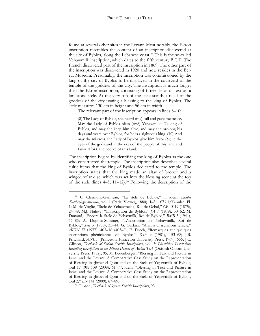found at several other sites in the Levant. Most notably, the Ekron inscription resembles the content of an inscription discovered at the site of Byblos, along the Lebanese coast.[29](#page-13-0) This is the so-called Yehawmilk inscription, which dates to the fifth century B.C.E. The French discovered part of the inscription in 1869. The other part of the inscription was discovered in 1920 and now resides in the Beirut Museum. Presumably, the inscription was commissioned by the king of the city of Byblos to be displayed in the courtyard of the temple of the goddess of the city. The inscription is much longer than the Ekron inscription, consisting of fifteen lines of text on a limestone stele. At the very top of the stele stands a relief of the goddess of the city issuing a blessing to the king of Byblos. The stele measures 130 cm in height and 56 cm in width.

The relevant part of the inscription appears in lines 8–10:

(8) The Lady of Byblos, she heard (my) call and gave me peace. May the Lady of Byblos bless (*tbrk*) Yehawmilk, (9) king of Byblos, and may she keep him alive, and may she prolong his days and years over Byblos, for he is a righteous king. (10) And may the mistress, the Lady of Byblos, give him favor (hn) in the eyes of the gods and in the eyes of the people of this land and favor <for> the people of this land.

The inscription begins by identifying the king of Byblos as the one who constructed the temple. The inscription also describes several cultic items that the king of Byblos dedicated to the temple. The inscription states that the king made an altar of bronze and a winged solar disc, which was set into the blessing scene at the top of the stele (lines  $4-5$ ,  $11-12$ ).<sup>[30](#page-13-1)</sup> Following the description of the

<span id="page-13-0"></span><sup>29</sup> C. Clermont-Ganneau, "La stèle de Byblos," in idem, *Études d'archéologie orientale*, vol. 1 (Paris: Vieweg, 1880), 1–36; *CIS* 1/Tabulae, Pl. 1; M. de Vogüé, "Stèle de Yehawmelek, Roi de Gebal," *CRAI* 19 (1875), 24–49; M.J. Halevy, "L'inscription de Byblos," *JA* 7 (1879), 50–62; M. Dunand, "Encore la Stèle de Yehavmilk, Roi de Byblos," *BMB* 5 (1941), 57–85; A. Dupont-Sommer, "L'inscription de Yehawmilk, Roi de Byblos," *Sem* 3 (1950), 35–44; G. Garbini, "Analisi di iscrizioni fenicie," *AION* 37 (1977), 403–16 (403–8); E. Puech, "Remarques sur quelques inscriptions phéniciennes de Byblos," *RSF* 9 (1981), 153–68; J.B. Pritchard, *ANET* (Princeton: Princeton University Press, 1969), 656; J.C. Gibson, *Textbook of Syrian Semitic Inscriptions*, vol. 3: *Phoenician Inscriptions Including Inscriptions in the Mixed Dialect of Arslan Tash* (Oxford: Oxford University Press, 1982), 95; M. Leuenberger, "Blessing in Text and Picture in Israel and the Levant. A Comparative Case Study on the Representation of Blessing in Ḫirbet el-Qom and on the Stela of Yeḥawmilk of Byblos, Teil 1," *BN* 139 (2008), 61–77; idem, "Blessing in Text and Picture in Israel and the Levant. A Comparative Case Study on the Representation of Blessing in Ḫirbet el-Qom and on the Stela of Yeḥawmilk of Byblos,

<span id="page-13-1"></span><sup>&</sup>lt;sup>30</sup> Gibson, *Textbook of Syrian Semitic Inscriptions*, 93.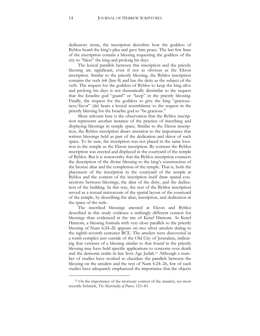dedicatory items, the inscription describes how the goddess of Byblos heard the king's plea and gave him peace. The last few lines of the inscription contain a blessing requesting the goddess of the city to "bless" the king and prolong his days.

The lexical parallels between this inscription and the priestly blessing are significant, even if not as obvious as the Ekron inscription. Similar to the priestly blessing, the Byblos inscription contains the verb *brk* (line 8) and has the deity as the subject of the verb. The request for the goddess of Byblos to keep the king alive and prolong his days is not thematically dissimilar to the request that the Israelite god "guard" or "keep" in the priestly blessing. Finally, the request for the goddess to give the king "graciousness/favor" (ḥ*n*) bears a lexical resemblance to the request in the priestly blessing for the Israelite god to "be gracious."

More relevant here is the observation that the Byblos inscription represents another instance of the practice of inscribing and displaying blessings in temple space. Similar to the Ekron inscription, the Byblos inscription draws attention to the importance that written blessings held as part of the dedication and décor of such space. To be sure, the inscription was not placed in the same location in the temple as the Ekron inscription. By contrast the Byblos inscription was erected and displayed in the courtyard of the temple of Byblos. But it is noteworthy that the Byblos inscription connects the description of the divine blessing to the king's construction of the bronze altar and the completion of the temple. That is, both the placement of the inscription in the courtyard of the temple at Byblos and the content of the inscription itself draw spatial connections between blessings, the altar of the deity, and the dedication of the building. In this way, the text of the Byblos inscription served as a textual microcosm of the spatial layout of the courtyard of the temple, by describing the altar, inscription, and dedication in the space of the stele.

The inscribed blessings attested at Ekron and Byblos described in this study evidence a strikingly different context for blessings than evidenced at the site of Ketef Hinnom. At Ketef Hinnom, a blessing formula with very close parallels to the priestly blessing of Num 6:24–26 appears on two silver amulets dating to the eighth-seventh centuries BCE. The amulets were discovered in a tomb complex just outside of the Old City of Jerusalem, indicating that versions of a blessing similar to that found in the priestly blessing may have held specific applications to concerns over death and the demonic realm in late Iron Age Judah.<sup>[31](#page-14-0)</sup> Although a number of studies have worked to elucidate the parallels between the blessing on the amulets and the text of Num 6:24–26, few of such studies have adequately emphasized the importance that the objects

 $\overline{\phantom{a}}$ 

<span id="page-14-0"></span><sup>&</sup>lt;sup>31</sup> On the importance of the mortuary context of the amulets, see most recently Schmidt, *The Materiality of Power*, 123–43.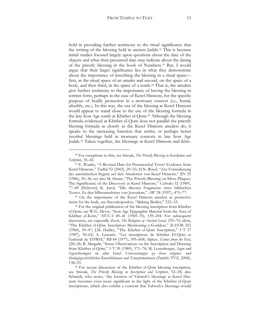hold in providing further testimony to the ritual significance that the writing of the blessing held in ancient Judah.[32](#page-15-0) This is because initial studies focused largely upon questions about the date of the objects and what their presumed date may indicate about the dating of the priestly blessing in the book of Numbers.[33](#page-15-1) But, I would argue that their larger significance lies in what they demonstrate about the importance of inscribing the blessing in a ritual space first, in the ritual space of an amulet and second, on the space of a body, and then third, in the space of a tomb.<sup>[34](#page-15-2)</sup> That is, the amulets give further testimony to the importance of having the blessing in written form, perhaps in the case of Ketef Hinnom, for the specific purpose of bodily protection in a mortuary context (i.e., burial, afterlife, etc.). In this way, the use of the blessing at Ketef Hinnom would appear to stand close to the use of the blessing formula in the late Iron Age tomb at Khirbet el-Qom[.35](#page-15-3) Although the blessing formula evidenced at Khirbet el-Qom does not parallel the priestly blessing formula as closely as the Ketef Hinnom amulets do, it speaks to the increasing function that *written*, or perhaps better *inscribed*, blessings held in mortuary contexts in late Iron Age Judah[.36](#page-15-4) Taken together, the blessings at Ketef Hinnom and Khir-

 $\overline{a}$ 

<span id="page-15-2"></span><sup>34</sup> On the importance of the Ketef Hinnom amulets as protective items for the body, see Stavrakopoulou, "Making Bodies," 532–53.

<span id="page-15-0"></span><sup>32</sup> For exceptions to this, see Smoak, *The Priestly Blessing in Inscription and Scripture*, 35–42.

<span id="page-15-1"></span><sup>33</sup> E. Waaler, "A Revised Date for Pentateuchal Texts? Evidence from Ketef Hinnom," *TynBul* 53 (2002), 29–55; H.N. Rösel, "Zur Formulierung des aaronitischen Segens auf den Amuletten von Ketef Hinnom," *BN* 35 (1986), 30–36; see also M. Haran, "The Priestly Blessing on Silver Plaques: The Significance of the Discovery at Ketef Hinnom," *Cathedra* 52 (1989), 77–89 [Hebrew]; K. Jaroš, "Die ältesten Fragmente eines biblischen Textes: Zu den Silberamuletten von Jerusalem," *AW* 28 (1997), 475–77.

<span id="page-15-3"></span><sup>&</sup>lt;sup>35</sup> For the original publication of the blessing inscription from Khirbet el-Qom, see W.G. Dever, "Iron Age Epigraphic Material from the Area of Khirbet el-Kôm," *HUCA* 40–41 (1969–70), 139–204. For subsequent discussion, see especially Zevit, *The Religions of Ancient Israel*, 259–70; idem, "The Khirbet el-Qôm Inscription Mentioning a Goddess," *BASOR* 255 (1984), 39–47; J.M. Hadley, "The Khirbet el-Qom Inscription," *VT* 37 (1987), 50–62; A. Lemaire, "Les inscriptions de Khirbet El-Qôm et l'ashérah de YHWH," *RB* 84 (1977), 595–608; Aḥituv, *Echoes from the Past*, 220–26; B. Margalit, "Some Observations on the Inscription and Drawing from Khirbet el-Qôm," *VT* 39 (1989), 371–78; M. Leuenberger, *Segen und Segenstheologien im alten Israel: Untersuchungen zu ihren religions- und theologiegeschichtlichen Konstellationen und Transformationen* (Zürich: TVZ, 2008), 138–55.

<span id="page-15-4"></span><sup>36</sup> For recent discussion of the Khirbet el-Qom blessing inscription, see Smoak, *The Priestly Blessing in Inscription and Scripture*, 52–58; also Schmidt, who notes, "the location of Yahweh's blessings at Ketef Hinnom becomes even more significant in the light of the Khirbet el-Qom inscriptions, which also exhibit a concern that Yahweh's blessings would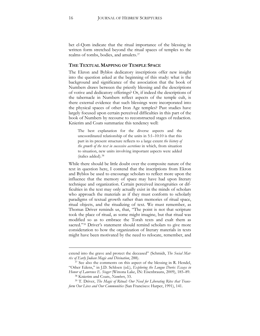bet el-Qom indicate that the ritual importance of the blessing in written form stretched beyond the ritual spaces of temples to the realms of tombs, bodies, and amulets.[37](#page-16-0)

#### **THE TEXTUAL MAPPING OF TEMPLE SPACE**

The Ekron and Byblos dedicatory inscriptions offer new insight into the question asked at the beginning of this study: what is the background and significance of the association that the book of Numbers draws between the priestly blessing and the descriptions of votive and dedicatory offerings? Or, if indeed the descriptions of the tabernacle in Numbers reflect aspects of the temple cult, is there external evidence that such blessings were incorporated into the physical spaces of other Iron Age temples? Past studies have largely focused upon certain perceived difficulties in this part of the book of Numbers by recourse to reconstructed stages of redaction. Knierim and Coats summarize this tendency well:

The best explanation for the diverse aspects and the uncoordinated relationship of the units in 5:1–10:10 is that this part in its present structure reflects to a large extent *the history of the growth of the text in successive accretions* in which, from situation to situation, new units involving important aspects were added (italics added).[38](#page-16-1)

While there should be little doubt over the composite nature of the text in question here, I contend that the inscriptions from Ekron and Byblos be used to encourage scholars to reflect more upon the influence that the memory of space may have had upon literary technique and organization. Certain perceived incongruities or difficulties in the text may only actually exist in the minds of scholars who approach the materials as if they must conform to scholarly paradigms of textual growth rather than memories of ritual space, ritual objects, and the ritualizing of text. We must remember, as Thomas Driver reminds us, that, "The point is not that scripture took the place of ritual, as some might imagine, but that ritual was modified so as to embrace the Torah texts and exalt them as sacred."<sup>[39](#page-16-2)</sup> Driver's statement should remind scholars to give more consideration to how the organization of literary materials in texts might have been motivated by the need to relocate, remember, and

 $\overline{\phantom{a}}$ 

extend into the grave and protect the deceased" (Schmidt, *The Social Matrix of Early Judean Magic and Divination*, 288).

<span id="page-16-0"></span><sup>&</sup>lt;sup>37</sup> See also the comments on this aspect of the blessing in R. Hendel, "Other Edens," in J.D. Schloen (ed.), *Exploring the Longue Durée: Essays in Honor of Lawrence E. Stager* (Winona Lake, IN: Eisenbrauns, 2009), 185–89.

<sup>38</sup> Knierim and Coats, *Numbers*, 33.

<span id="page-16-2"></span><span id="page-16-1"></span><sup>39</sup> T. Driver, *The Magic of Ritual: Our Need for Liberating Rites that Transform Our Lives and Our Communities* (San Francisco: Harper, 1991), 141.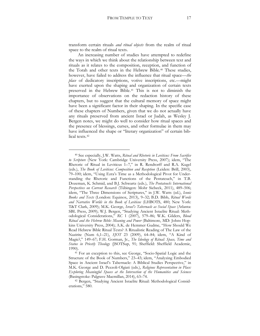transform certain rituals *and ritual objects* from the realm of ritual space to the realm of ritual texts.

An increasing number of studies have attempted to redefine the ways in which we think about the relationship between text and rituals as it relates to the composition, reception, and function of the Torah and other texts in the Hebrew Bible.[40](#page-17-0) These studies, however, have failed to address the influence that ritual space—*the place* of dedicatory inscriptions, votive inscriptions, etc.—might have exerted upon the shaping and organization of certain texts preserved in the Hebrew Bible.[41](#page-17-1) This is not to diminish the importance of observations on the redaction history of these chapters, but to suggest that the cultural memory of space might have been a significant factor in their shaping. In the specific case of these chapters of Numbers, given that we do not actually have any rituals preserved from ancient Israel or Judah, as Wesley J. Bergen notes, we might do well to consider how ritual spaces and the presence of blessings, curses, and other formulae in them may have influenced the shape or "literary organization" of certain biblical texts.[42](#page-17-2)

<span id="page-17-0"></span><sup>40</sup> See especially, J.W. Watts, *Ritual and Rhetoric in Leviticus: From Sacrifice to Scripture* (New York: Cambridge University Press, 2007); idem, "The Rhetoric of Ritual in Leviticus 1–7," in R. Rendtorff and R.A. Kugel (eds.), *The Book of Leviticus: Composition and Reception* (Leiden: Brill, 2003), 79–100; idem, "Using Ezra's Time as a Methodological Pivot for Understanding the Rhetoric and Functions of the Pentateuch," in T.B. Dozeman, K. Schmid, and B.J. Schwartz (eds.), *The Pentateuch: International Perspectives on Current Research* (Tübingen: Mohr Siebeck, 2011), 489–506; idem, "The Three Dimensions of Scriptures," in J.W. Watts (ed.), *Iconic Books and Texts* (London: Equinox, 2013), 9–32; B.D. Bibb, *Ritual Words and Narrative Worlds in the Book of Leviticus* (LHBOTS, 480; New York: T&T Clark, 2009); M.K. George, *Israel's Tabernacle as Social Space* (Atlanta: SBL Press, 2009); W.J. Bergen, "Studying Ancient Israelite Ritual: Methodological Considerations," *RC* 1 (2007), 579–86; W.K. Gilders, *Blood Ritual and the Hebrew Bible: Meaning and Power* (Baltimore, MD: Johns Hopkins University Press, 2004); A.K. de Hemmer Gudme, "How Should We Read Hebrew Bible Ritual Texts? A Ritualistic Reading of The Law of the Nazirite (Num 6,1–21), *SJOT* 23 (2009), 64–84; idem, "A Kind of Magic?," 149–67; F.H. Gorman, Jr., *The Ideology of Ritual: Space, Time and Status in Priestly Theology* (JSOTSup, 91; Sheffield: Sheffield Academic, 1990).

<span id="page-17-1"></span><sup>41</sup> For an exception to this, see George, "Socio-Spatial Logic and the Structure of the Book of Numbers," 23–43; idem, "Analyzing Embodied Space in Ancient Israel's Tabernacle: A Biblical Studies Perspective," in M.K. George and D. Pezzoli-Olgiati (eds.), *Religious Representation in Place: Exploring Meaningful Spaces at the Intersection of the Humanities and Sciences*  (Basingstoke: Palgrave Macmillan, 2014), 63–74.

<span id="page-17-2"></span><sup>42</sup> Bergen, "Studying Ancient Israelite Ritual: Methodological Considerations," 580.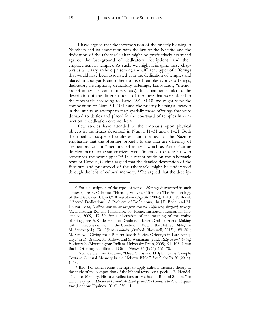I have argued that the incorporation of the priestly blessing in Numbers and its association with the law of the Nazirite and the dedication of the tabernacle altar might be productively examined against the background of dedicatory inscriptions, and their emplacement in temples. As such, we might reimagine these chapters as a literary archive preserving the different types of offerings that would have been associated with the dedication of temples and placed in courtyards and other rooms of temples (votive offerings, dedicatory inscriptions, dedicatory offerings, lampstands, "memorial offerings," silver trumpets, etc.). In a manner similar to the description of the different items of furniture that were placed in the tabernacle according to Exod 25:1–31:18, we might view the composition of Num 5:1–10:10 and the priestly blessing's location in the unit as an attempt to map spatially those offerings that were donated to deities and placed in the courtyard of temples in connection to dedication ceremonies.[43](#page-18-0)

Few studies have attended to the emphasis upon physical objects in the rituals described in Num 5:11–31 and 6:1–21. Both the ritual of suspected adulteress and the law of the Nazirite emphasize that the offerings brought to the altar are offerings of "remembrance" or "memorial offerings," which as Anne Katrine de Hemmer Gudme summarizes, were "intended to make Yahweh remember the worshipper."[44](#page-18-1) In a recent study on the tabernacle texts of Exodus, Gudme argued that the detailed description of the furniture and priesthood of the tabernacle might be understood through the lens of cultural memory.[45](#page-18-2) She argued that the descrip-

<span id="page-18-0"></span><sup>43</sup> For a description of the types of votive offerings discovered in such contexts, see R. Osborne, "Hoards, Votives, Offerings: The Archaeology of the Dedicated Object," *World Archaeology* 36 (2004), 1–10; J.P. Bodel, " 'Sacred Dedications': A Problem of Definitions," in J.P. Bodel and M. Kajava (eds.), *Dediche sacre nel mondo greco-romano. Diffusione, funzioni, tipologie*  (Acta Instituti Romani Finlandiae, 35; Rome: Institutum Romanum Finlandiae, 2009), 17–30; for a discussion of the meaning of the votive offerings, see A.K. de Hemmer Gudme, "Barter Deal or Friend-Making Gift? A Reconsideration of the Conditional Vow in the Hebrew Bible," in M. Satlow (ed.), *The Gift in Antiquity* (Oxford: Blackwell, 2013), 189–201; M. Satlow, "Giving for a Return: Jewish Votive Offerings in Late Antiquity," in D. Brakke, M. Satlow, and S. Weitzman (eds.), *Religion and the Self in Antiquity* (Bloomington: Indiana University Press, 2005), 91–108; J. van Baal, "Offering, Sacrifice and Gift," *Numen* 23 (1976), 161–78.

<span id="page-18-1"></span><sup>44</sup> A.K. de Hemmer Gudme, "Dyed Yarns and Dolphin Skins: Temple Texts as Cultural Memory in the Hebrew Bible," *Jewish Studies* 50 (2014), 1–14.

<span id="page-18-2"></span><sup>45</sup> Ibid. For other recent attempts to apply cultural memory theory to the study of the composition of the biblical texts, see especially R. Hendel, "Culture, Memory, History: Reflections on Method in Biblical Studies," in T.E. Levy (ed.), *Historical Biblical Archaeology and the Future: The New Pragmatism* (London: Equinox, 2010), 250–61.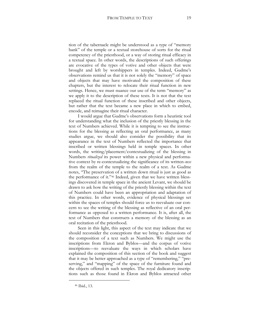tion of the tabernacle might be understood as a type of "memory bank" of the temple or a textual storehouse of sorts for the ritual competency of the priesthood, or a way of storing ritual efficacy in a textual space. In other words, the descriptions of such offerings are evocative of the types of votive and other objects that were brought and left by worshippers in temples. Indeed, Gudme's observations remind us that it is not solely the "memory" of space and objects that may have motivated the composition of these chapters, but the interest to relocate their ritual function in new settings. Hence, we must nuance our use of the term "memory" as we apply it to the description of these texts. It is not that the text replaced the ritual function of these inscribed and other objects, but rather that the text became a new place in which to embed, encode, and reimagine their ritual character.

I would argue that Gudme's observations form a heuristic tool for understanding what the inclusion of the priestly blessing in the text of Numbers achieved. While it is tempting to see the instructions for the blessing as reflecting an oral performance, as many studies argue, we should also consider the possibility that its appearance in the text of Numbers reflected the importance that inscribed or written blessings held in temple spaces. In other words, the writing/placement/contextualizing of the blessing in Numbers *ritualized* its power within a new physical and performative context by re-contextualizing the significance of its written-*ness*  from the realm of the temple to the realm of a text. As Gudme notes, "The preservation of a written down ritual is just as good as the performance of it."[46](#page-19-0) Indeed, given that we have written blessings discovered in temple space in the ancient Levant, we should be drawn to ask how the writing of the priestly blessing within the text of Numbers could have been an appropriation and adaptation of this practice. In other words, evidence of physical blessings set within the spaces of temples should force us to reevaluate our concern to see the writing of the blessing as reflective of an oral performance as opposed to a written performance. It is, after all, the text of Numbers that constructs a memory of the blessing as an oral recitation of the priesthood.

Seen in this light, this aspect of the text may indicate that we should reconsider the conceptions that we bring to discussions of the composition of a text such as Numbers. We might use the inscriptions from Ekron and Byblos—and the corpus of votive inscriptions—to reevaluate the ways in which scholars have explained the composition of this section of the book and suggest that it may be better approached as a type of "remembering," "preserving," and "mapping" of the space of the furniture found and the objects offered in such temples. The royal dedicatory inscriptions such as those found in Ekron and Byblos attracted other

<span id="page-19-0"></span><sup>46</sup> Ibid., 13.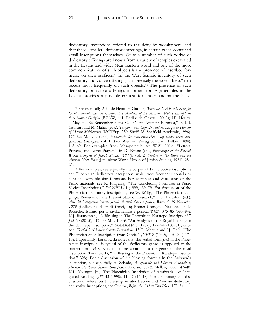dedicatory inscriptions offered to the deity by worshippers, and that these "smaller" dedicatory offerings, in certain cases, contained small inscriptions themselves. Quite a number of such votive or dedicatory offerings are known from a variety of temples excavated in the Levant and wider Near Eastern world and one of the more common features of such objects is the presence of inscribed formulae on their surfaces[.47](#page-20-0) In the West Semitic inventory of such dedicatory and votive offerings, it is precisely the word "bless" that occurs most frequently on such objects.[48](#page-20-1) The presence of such dedicatory or votive offerings in other Iron Age temples in the Levant provides a possible context for understanding the back-

<span id="page-20-0"></span><sup>47</sup> See especially A.K. de Hemmer Gudme, *Before the God in this Place for Good Remembrance: A Comparative Analysis of the Aramaic Votive Inscriptions from Mount Gerizim* (BZAW, 441; Berlin: de Gruyter, 2013); J.F. Healey, " 'May He Be Remembered for Good': An Aramaic Formula," in K.J. Cathcart and M. Maher (eds.), *Targumic and Cognate Studies: Essays in Honour of Martin McNamara* (JSOTSup, 230; Sheffield: Sheffield Academic, 1996), 177–86; M. Lidzbarski, *Handbuch der nordsemitischen Epigraphik nebst ausgewählten Inschriften*, vol. 1: *Text* (Weimar: Verlag von Emil Felber, 1898), 165–69. For examples from Mesopotamia, see W.W. Hallo, "Letters, Prayers, and Letter-Prayers," in D. Krone (ed.), *Proceedings of the Seventh World Congress of Jewish Studies (1977)*, vol. 2: *Studies in the Bible and the Ancient Near East* (Jerusalem: World Union of Jewish Studies, 1981), 25– 26.

<span id="page-20-1"></span><sup>48</sup> For examples, see especially the corpus of Punic votive inscriptions and Phoenician dedicatory inscriptions, which very frequently contain or conclude with blessing formulae. For examples and discussion of the Punic materials, see K. Jongeling, "The Concluding Formulae in Punic Votive Inscriptions," *DS-NELL* 4 (1999), 39–79. For discussion of the Phoenician dedicatory inscriptions, see W. Röllig, "The Phoenician Language: Remarks on the Present State of Research," in P. Bartoloni (ed.), *Atti del I congresso internazionale di studi fenici e punici, Roma 5*–*10 Novembre 1979* (Collezione di studi fenici, 16; Rome: Consiglio Nazionale delle Ricerche. Istituto per la civiltà fenicia e punica, 1983), 375–85 (383–84); K.J. Baranowski, "A Blessing in The Phoenician Karatepe Inscription?," *JSS* 60 (2015), 317–30; M.L. Barré, "An Analysis of the Royal Blessing in the Karatepe Inscription," *MAARAV* 3 (1982), 177–94 (180–81); Gibson, *Textbook of Syrian Semitic Inscriptions*, 43; R. Marcus and I.J. Gelb, "The Phoenician Stele Inscription from Cilicia," *JNES* 8 (1949), 116–20 (117– 18). Importantly, Baranowski notes that the verbal form *ybrk* in the Phoenician inscriptions is typical of the dedicatory genre as opposed to the perfect form *wbrk*, which is more common to the genre of the royal inscription (Baranowski, "A Blessing in the Phoenician Karatepe Inscription," 328). For a discussion of the blessing formula in the Azitawada inscription, see especially A. Schade, *A Syntactic and Literary Analysis of Ancient Northwest Semitic Inscriptions* (Lewiston, NY: Mellen, 2006), 47–48; K.L. Younger, Jr., "The Phoenician Inscription of Azatiwada: An Integrated Reading," *JSS* 43 (1998), 11–47 (13–18). For a summary and discussion of references to blessings in later Hebrew and Aramaic dedicatory and votive inscriptions, see Gudme, *Before the God in This Place*, 127–54.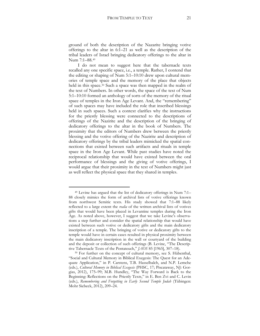ground of both the description of the Nazarite bringing votive offerings to the altar in 6:1–21 as well as the description of the tribal leaders of Israel bringing dedicatory offerings to the altar in Num 7:1–88[.49](#page-21-0)

I do not mean to suggest here that the tabernacle texts recalled any one specific space, i.e., a temple. Rather, I contend that the editing or shaping of Num 5:1–10:10 drew upon cultural memories of temple space and the memory of the place that objects held in this space.<sup>[50](#page-21-1)</sup> Such a space was then mapped in the realm of the text of Numbers. In other words, the space of the text of Num 5:1–10:10 formed an anthology of sorts of the memory of the ritual space of temples in the Iron Age Levant. And, the "remembering" of such spaces may have included the role that inscribed blessings held in such spaces. Such a context clarifies why the instructions for the priestly blessing were connected to the descriptions of offerings of the Nazirite and the description of the bringing of dedicatory offerings to the altar in the book of Numbers. The proximity that the editors of Numbers drew between the priestly blessing and the votive offering of the Nazirite and description of dedicatory offerings by the tribal leaders mimicked the spatial connections that existed between such artifacts and rituals in temple space in the Iron Age Levant. While past studies have noted the reciprocal relationship that would have existed between the oral performance of blessings and the giving of votive offerings, I would argue that their proximity in the text of Numbers might just as well reflect the physical space that they shared in temples.

<span id="page-21-0"></span><sup>49</sup> Levine has argued that the list of dedicatory offerings in Num 7:1– 88 closely mimics the form of archival lists of votive offerings known from northwest Semitic texts. His study showed that 7:1–88 likely reflected to a large extent the *realia* of the written archival lists of votives gifts that would have been placed in Levantine temples during the Iron Age. As noted above, however, I suggest that we take Levine's observations a step further and consider the spatial relationship that would have existed between such votive or dedicatory gifts and the main dedicatory inscription of a temple. The bringing of votive or dedicatory gifts to the temple would have in certain cases resulted in physical proximity between the main dedicatory inscription in the wall or courtyard of the building and the deposit or collection of such offerings (B. Levine, "The Descriptive Tabernacle Texts of the Pentateuch," *JAOS* 85 [1965], 307–18).

<span id="page-21-1"></span><sup>50</sup> For further on the concept of cultural memory, see S. Hübenthal, "Social and Cultural Memory in Biblical Exegesis: The Quest for an Adequate Application," in P. Carstens, T.B. Hasselbalch, and N.P. Lemche (eds.), *Cultural Memory in Biblical Exegesis* (PHSC, 17; Piscataway, NJ: Gorgias, 2012), 175–99; M.B. Hundley, "The Way Forward is Back to the Beginning: Reflections on the Priestly Texts," in E. Ben Zvi and C. Levin (eds.), *Remembering and Forgetting in Early Second Temple Judah* (Tübingen: Mohr Siebeck, 2012), 209–24.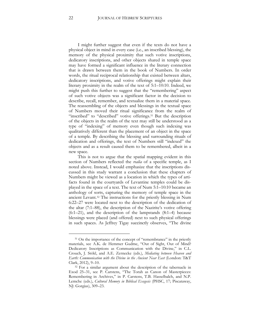I might further suggest that even if the texts do not have a physical object in mind in every case (i.e., an inscribed blessing), the memory of the physical proximity that such votive inscriptions, dedicatory inscriptions, and other objects shared in temple space may have formed a significant influence in the literary connection that is drawn between them in the book of Numbers. In order words, the ritual reciprocal relationship that existed between altars, dedicatory inscriptions, and votive offerings might explain their literary proximity in the realm of the text of 5:1–10:10. Indeed, we might push this further to suggest that the "remembering" aspect of such votive objects was a significant factor in the decision to describe, recall, remember, and textualize them in a material space. The reassembling of the objects and blessings in the textual space of Numbers moved their ritual significance from the realm of "inscribed" to "described" votive offerings.<sup>[51](#page-22-0)</sup> But the description of the objects in the realm of the text may still be understood as a type of "indexing" of memory even though such indexing was qualitatively different than the placement of an object in the space of a temple. By describing the blessing and surrounding rituals of dedication and offerings, the text of Numbers still "indexed" the objects and as a result caused them to be remembered, albeit in a new space.

This is not to argue that the spatial mapping evident in this section of Numbers reflected the *realia* of a specific temple, as I noted above. Instead, I would emphasize that the inscriptions discussed in this study warrant a conclusion that these chapters of Numbers might be viewed as a location in which the types of artifacts found in the courtyards of Levantine temples could be displayed in the space of a text. The text of Num 5:1–10:10 became an anthology of sorts, capturing the memory of temple space in the ancient Levant.[52](#page-22-1) The instructions for the priestly blessing in Num 6:22–27 were located next to the description of the dedication of the altar (7:1–88), the description of the Nazirite's votive offering (6:1–21), and the description of the lampstands (8:1–4) because blessings were placed (and offered) next to such physical offerings in such spaces. As Jeffrey Tigay succinctly observes, "The divine

 $\overline{\phantom{a}}$ 

<span id="page-22-0"></span><sup>&</sup>lt;sup>51</sup> On the importance of the concept of "remembrance" in the priestly materials, see A.K. de Hemmer Gudme, "Out of Sight, Out of Mind? Dedicatory Inscriptions as Communication with the Divine," in C.L. Crouch, J. Stökl, and A.E. Zernecke (eds.), *Mediating between Heaven and Earth: Communication with the Divine in the Ancient Near East* (London: T&T Clark, 2012), 9–10.

<span id="page-22-1"></span><sup>52</sup> For a similar argument about the description of the tabernacle in Exod 25–31, see P. Carstens, "The Torah as Canon of Masterpieces: Remembering in Archives," in P. Carstens, T.B. Hasselbalch, and N.P. Lemche (eds.), *Cultural Memory in Biblical Exegesis* (PHSC, 17; Piscataway, NJ: Gorgias), 309–23.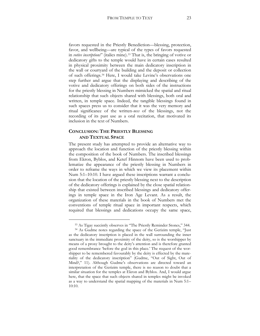favors requested in the Priestly Benediction—blessing, protection, favor, and wellbeing—are typical of the types of favors requested in *votive inscriptions*" (italics mine).[53](#page-23-0) That is, the bringing of votive or dedicatory gifts to the temple would have in certain cases resulted in physical proximity between the main dedicatory inscription in the wall or courtyard of the building and the deposit or collection of such offerings.[54](#page-23-1) Here, I would take Levine's observations one step further and argue that the displaying and describing of the votive and dedicatory offerings on both sides of the instructions for the priestly blessing in Numbers mimicked the spatial and ritual relationship that such objects shared with blessings, both oral and written, in temple space. Indeed, the tangible blessings found in such spaces press us to consider that it was the very memory and ritual significance of the written-*ness* of the blessings, not the recording of its past use as a oral recitation, that motivated its inclusion in the text of Numbers.

#### **CONCLUSION: THE PRIESTLY BLESSING AND TEXTUAL SPACE**

 $\overline{\phantom{a}}$ 

The present study has attempted to provide an alternative way to approach the location and function of the priestly blessing within the composition of the book of Numbers. The inscribed blessings from Ekron, Byblos, and Ketef Hinnom have been used to problematize the appearance of the priestly blessing in Numbers in order to reframe the ways in which we view its placement within Num 5:1–10:10. I have argued these inscriptions warrant a conclusion that the location of the priestly blessing next to the description of the dedicatory offerings is explained by the close spatial relationship that existed between inscribed blessings and dedicatory offerings in temple space in the Iron Age Levant. As a result, the organization of these materials in the book of Numbers met the conventions of temple ritual space in important respects, which required that blessings and dedications occupy the same space,

<span id="page-23-1"></span><span id="page-23-0"></span><sup>53</sup> As Tigay succintly observes in "The Priestly Reminder Stones," 344. <sup>54</sup> As Gudme notes regarding the space of the Gerizim temple, "Just as the dedicatory inscription is placed in the wall surrounding the inner sanctuary in the immediate proximity of the deity, so is the worshipper by means of a proxy brought to the deity's attention and is therefore granted good remembrance 'before the god in this place.' The request of the worshipper to be remembered favourably by the deity is effected by the materiality of the dedicatory inscription" (Gudme, "Out of Sight, Out of Mind?," 11). Although Gudme's observations are directed toward an interpretation of the Gerizim temple, there is no reason to doubt that a similar situation for the temples at Ekron and Byblos. And, I would argue here, that the space that such objects shared in temples might be invoked as a way to understand the spatial mapping of the materials in Num 5:1– 10:10.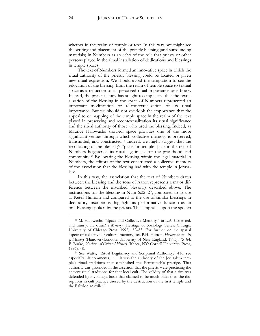whether in the realm of temple or text. In this way, we might see the writing and placement of the priestly blessing (and surrounding materials) in Numbers as an echo of the role that priests or other persons played in the ritual installation of dedications and blessings in temple spaces.

The text of Numbers formed an innovative space in which the ritual authority of the priestly blessing could be located or given new ritual expression. We should avoid the temptation to see the relocation of the blessing from the realm of temple space to textual space as a reduction of its perceived ritual importance or efficacy. Instead, the present study has sought to emphasize that the textualization of the blessing in the space of Numbers represented an important modification or re-contextualization of its ritual importance. But we should not overlook the importance that the appeal to or mapping of the temple space in the realm of the text played in preserving and recontextualization its ritual significance and the ritual authority of those who used the blessing. Indeed, as Maurice Halbwachs showed, space provides one of the more significant venues through which collective memory is preserved, transmitted, and constructed.[55](#page-24-0) Indeed, we might suggest that the recollecting of the blessing's "place" in temple space in the text of Numbers heightened its ritual legitimacy for the priesthood and community.[56](#page-24-1) By locating the blessing within the legal material in Numbers, the editors of the text constructed a collective memory of the association that the blessing had with the temple in Jerusalem.

In this way, the association that the text of Numbers draws between the blessing and the sons of Aaron represents a major difference between the inscribed blessings described above. The instructions for the blessing in Num 6:22–27, compared to its use at Ketef Hinnom and compared to the use of similar blessings in dedicatory inscriptions, highlight its performative function as an oral blessing spoken by the priests. This emphasis upon the spoken

<span id="page-24-0"></span><sup>55</sup> M. Halbwachs, "Space and Collective Memory," in L.A. Coser (ed. and trans.), *On Collective Memory* (Heritage of Sociology Series; Chicago: University of Chicago Press, 1992), 52–53. For further on the spatial aspect of collective or cultural memory, see P.H. Hutton, *History as an Art of Memory* (Hanover/London: University of New England, 1993), 75–84; P. Burke, *Varieties of Cultural History* (Ithaca, NY: Cornell University Press, 1997), 48.

<span id="page-24-1"></span><sup>56</sup> See Watts, "Ritual Legitimacy and Scriptural Authority," 416; see especially his comments, ". . . it was the authority of the Jerusalem temple's ritual traditions that established the Pentateuch's prestige. That authority was grounded in the assertion that the priests were practicing the ancient ritual traditions for that local cult. The validity of that claim was defended by invoking a book that claimed to be much older than the disruptions in cult practice caused by the destruction of the first temple and the Babylonian exile."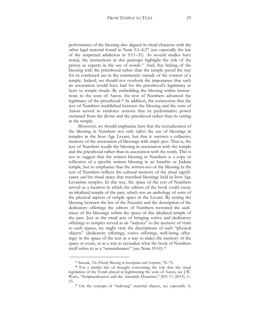performance of the blessing also aligned its ritual character with the other legal material found in Num 5:1–6:27 (see especially the law of the suspected adulteress in 5:11–31). As several studies have noted, the instructions in this pericope highlight the role of the priests as experts in the use of words.[57](#page-25-0) And, this linking of the blessing with the priesthood rather than the temple paved the way for its continued use in the community outside of the context of a temple. Indeed, we should not overlook the importance that such an association would have had for the priesthood's legitimacy as heirs to temple rituals. By embedding the blessing within instructions to the sons of Aaron, the text of Numbers advanced the legitimacy of the priesthood.[58](#page-25-1) In addition, the connection that the text of Numbers established between the blessing and the sons of Aaron served to reinforce notions that its performative power stemmed from the divine and the priesthood rather than its setting in the temple.

Moreover, we should emphasize here that the textualization of the blessing in Numbers not only *reflects* the use of blessings in temples in the Iron Age Levant, but that it *constructs* a collective memory of the association of blessings with *temple space*. That is, the text of Numbers recalls the blessing in association with the temple and the priesthood rather than in association with the tomb. This is not to suggest that the written blessing in Numbers is a copy or reflection of a specific written blessing in an Israelite or Judean temple, but to emphasize that the written*-ness* of the blessing in the text of Numbers reflects the cultural memory of the ritual significance *and* the ritual space that inscribed blessings held in Iron Age Levantine temples. In this way, the space of the text of Numbers served as a location in which the editors of the book could create an idealized temple of the past, which was an anthology of sorts of the physical aspects of temple space in the Levant. By setting the blessing between the law of the Nazarite and the description of the dedicatory offerings the editors of Numbers recreated the audiences of the blessings within the space of this idealized temple of the past. Just as the ritual acts of bringing votive and dedicatory offerings to temples served as an "indexes" to the memory of visits to such spaces, we might view the descriptions of such "physical objects" (dedicatory offerings, votive offerings, well-being offerings) in the space of the text as a way to index the memory of the space or event, or as a way to textualize what the book of Numbers itself refers to as a "remembrance" (see Num 10:10).<sup>[59](#page-25-2)</sup>

<sup>57</sup> Smoak, *The Priestly Blessing in Inscription and Scripture*, 70–75.

<span id="page-25-2"></span><span id="page-25-1"></span><span id="page-25-0"></span><sup>58</sup> For a similar line of thought concerning the role that the ritual legislation of the Torah played in legitimizing the sons of Aaron, see J.W. Watts, "Scripturalization and the Aaronide Dynasties," *JHS* 13 (2013), 1– 15.

<sup>59</sup> On the concept of "indexing" material objects, see especially A.